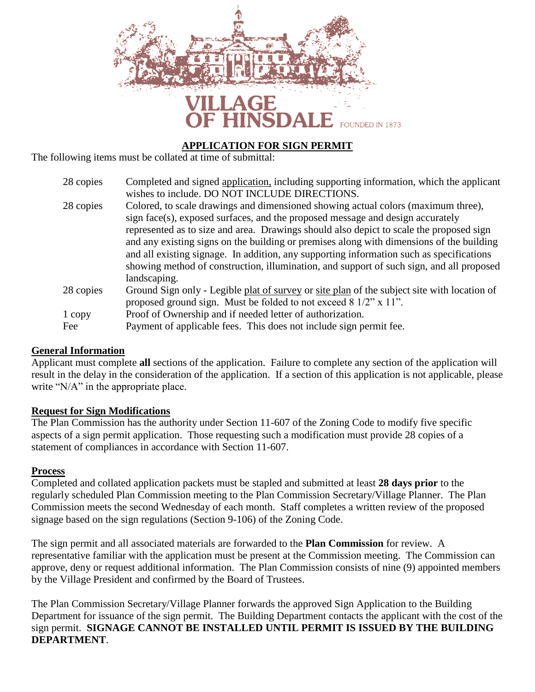

# **APPLICATION FOR SIGN PERMIT**

The following items must be collated at time of submittal:

| 28 copies | Completed and signed application, including supporting information, which the applicant<br>wishes to include. DO NOT INCLUDE DIRECTIONS.                                                                                                                                                                                                                                                                                                                                                                                                                           |  |
|-----------|--------------------------------------------------------------------------------------------------------------------------------------------------------------------------------------------------------------------------------------------------------------------------------------------------------------------------------------------------------------------------------------------------------------------------------------------------------------------------------------------------------------------------------------------------------------------|--|
| 28 copies | Colored, to scale drawings and dimensioned showing actual colors (maximum three),<br>sign face(s), exposed surfaces, and the proposed message and design accurately<br>represented as to size and area. Drawings should also depict to scale the proposed sign<br>and any existing signs on the building or premises along with dimensions of the building<br>and all existing signage. In addition, any supporting information such as specifications<br>showing method of construction, illumination, and support of such sign, and all proposed<br>landscaping. |  |
| 28 copies | Ground Sign only - Legible plat of survey or site plan of the subject site with location of<br>proposed ground sign. Must be folded to not exceed $8\frac{1}{2}$ " x 11".                                                                                                                                                                                                                                                                                                                                                                                          |  |
| 1 copy    | Proof of Ownership and if needed letter of authorization.                                                                                                                                                                                                                                                                                                                                                                                                                                                                                                          |  |
| Fee       | Payment of applicable fees. This does not include sign permit fee.                                                                                                                                                                                                                                                                                                                                                                                                                                                                                                 |  |

## **General Information**

Applicant must complete **all** sections of the application. Failure to complete any section of the application will result in the delay in the consideration of the application. If a section of this application is not applicable, please write "N/A" in the appropriate place.

#### **Request for Sign Modifications**

The Plan Commission has the authority under Section 11-607 of the Zoning Code to modify five specific aspects of a sign permit application. Those requesting such a modification must provide 28 copies of a statement of compliances in accordance with Section 11-607.

#### **Process**

Completed and collated application packets must be stapled and submitted at least **28 days prior** to the regularly scheduled Plan Commission meeting to the Plan Commission Secretary/Village Planner. The Plan Commission meets the second Wednesday of each month. Staff completes a written review of the proposed signage based on the sign regulations (Section 9-106) of the Zoning Code.

The sign permit and all associated materials are forwarded to the **Plan Commission** for review. A representative familiar with the application must be present at the Commission meeting. The Commission can approve, deny or request additional information. The Plan Commission consists of nine (9) appointed members by the Village President and confirmed by the Board of Trustees.

The Plan Commission Secretary/Village Planner forwards the approved Sign Application to the Building Department for issuance of the sign permit. The Building Department contacts the applicant with the cost of the sign permit. **SIGNAGE CANNOT BE INSTALLED UNTIL PERMIT IS ISSUED BY THE BUILDING DEPARTMENT**.